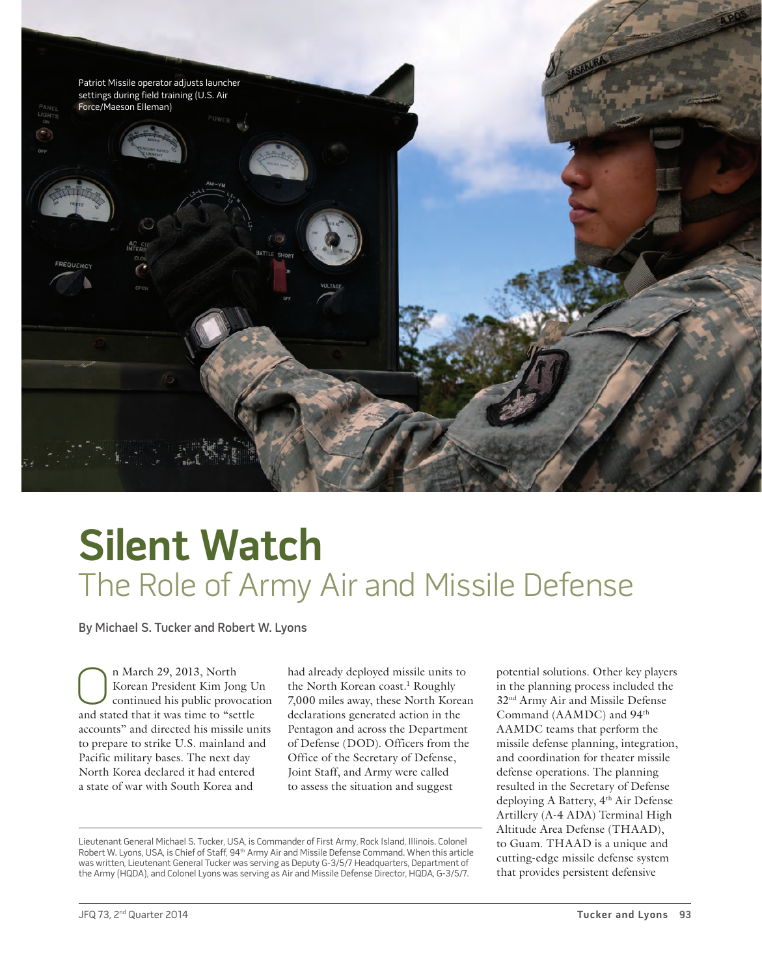

# **Silent Watch** The Role of Army Air and Missile Defense

By Michael S. Tucker and Robert W. Lyons

n March 29, 2013, North Korean President Kim Jong Un continued his public provocation and stated that it was time to "settle accounts" and directed his missile units to prepare to strike U.S. mainland and Pacific military bases. The next day North Korea declared it had entered a state of war with South Korea and

had already deployed missile units to the North Korean coast.<sup>1</sup> Roughly 7,000 miles away, these North Korean declarations generated action in the Pentagon and across the Department of Defense (DOD). Officers from the Office of the Secretary of Defense, Joint Staff, and Army were called to assess the situation and suggest

Lieutenant General Michael S. Tucker, USA, is Commander of First Army, Rock Island, Illinois. Colonel Robert W. Lyons, USA, is Chief of Staff, 94<sup>th</sup> Army Air and Missile Defense Command. When this article was written, Lieutenant General Tucker was serving as Deputy G-3/5/7 Headquarters, Department of the Army (HQDA), and Colonel Lyons was serving as Air and Missile Defense Director, HQDA, G-3/5/7.

potential solutions. Other key players in the planning process included the 32nd Army Air and Missile Defense Command (AAMDC) and 94<sup>th</sup> AAMDC teams that perform the missile defense planning, integration, and coordination for theater missile defense operations. The planning resulted in the Secretary of Defense deploying A Battery, 4<sup>th</sup> Air Defense Artillery (A-4 ADA) Terminal High Altitude Area Defense (THAAD), to Guam. THAAD is a unique and cutting-edge missile defense system that provides persistent defensive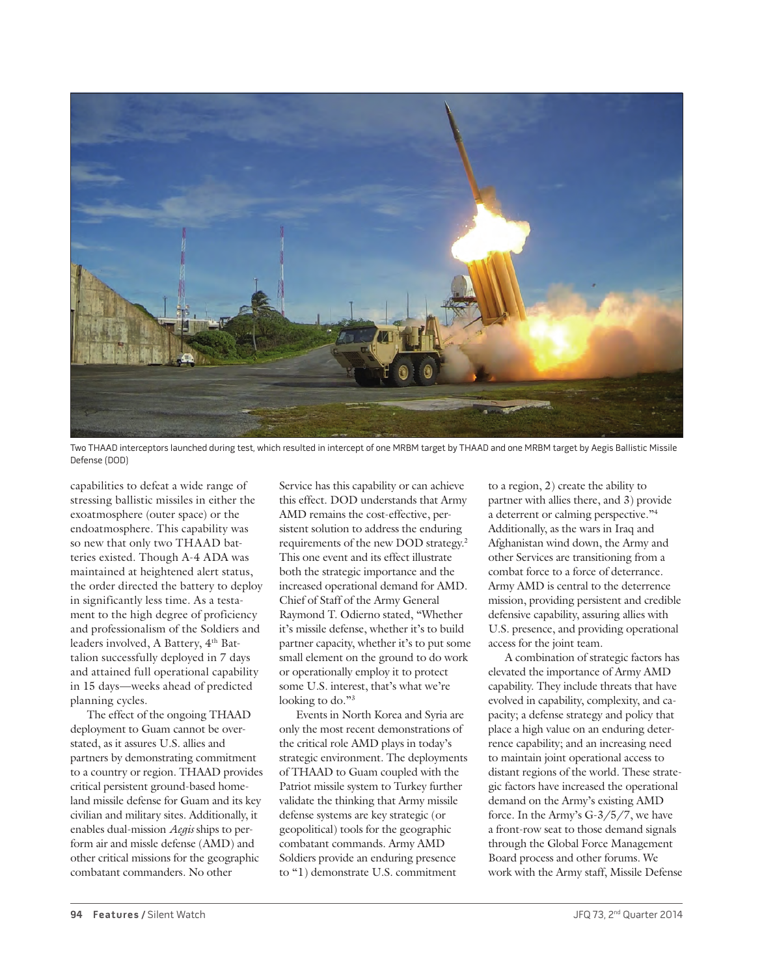

Two THAAD interceptors launched during test, which resulted in intercept of one MRBM target by THAAD and one MRBM target by Aegis Ballistic Missile Defense (DOD)

capabilities to defeat a wide range of stressing ballistic missiles in either the exoatmosphere (outer space) or the endoatmosphere. This capability was so new that only two THAAD batteries existed. Though A-4 ADA was maintained at heightened alert status, the order directed the battery to deploy in significantly less time. As a testament to the high degree of proficiency and professionalism of the Soldiers and leaders involved, A Battery, 4th Battalion successfully deployed in 7 days and attained full operational capability in 15 days—weeks ahead of predicted planning cycles.

The effect of the ongoing THAAD deployment to Guam cannot be overstated, as it assures U.S. allies and partners by demonstrating commitment to a country or region. THAAD provides critical persistent ground-based homeland missile defense for Guam and its key civilian and military sites. Additionally, it enables dual-mission *Aegis* ships to perform air and missle defense (AMD) and other critical missions for the geographic combatant commanders. No other

Service has this capability or can achieve this effect. DOD understands that Army AMD remains the cost-effective, persistent solution to address the enduring requirements of the new DOD strategy.2 This one event and its effect illustrate both the strategic importance and the increased operational demand for AMD. Chief of Staff of the Army General Raymond T. Odierno stated, "Whether it's missile defense, whether it's to build partner capacity, whether it's to put some small element on the ground to do work or operationally employ it to protect some U.S. interest, that's what we're looking to do."<sup>3</sup>

Events in North Korea and Syria are only the most recent demonstrations of the critical role AMD plays in today's strategic environment. The deployments of THAAD to Guam coupled with the Patriot missile system to Turkey further validate the thinking that Army missile defense systems are key strategic (or geopolitical) tools for the geographic combatant commands. Army AMD Soldiers provide an enduring presence to "1) demonstrate U.S. commitment

to a region, 2) create the ability to partner with allies there, and 3) provide a deterrent or calming perspective."4 Additionally, as the wars in Iraq and Afghanistan wind down, the Army and other Services are transitioning from a combat force to a force of deterrance. Army AMD is central to the deterrence mission, providing persistent and credible defensive capability, assuring allies with U.S. presence, and providing operational access for the joint team.

A combination of strategic factors has elevated the importance of Army AMD capability. They include threats that have evolved in capability, complexity, and capacity; a defense strategy and policy that place a high value on an enduring deterrence capability; and an increasing need to maintain joint operational access to distant regions of the world. These strategic factors have increased the operational demand on the Army's existing AMD force. In the Army's G-3/5/7, we have a front-row seat to those demand signals through the Global Force Management Board process and other forums. We work with the Army staff, Missile Defense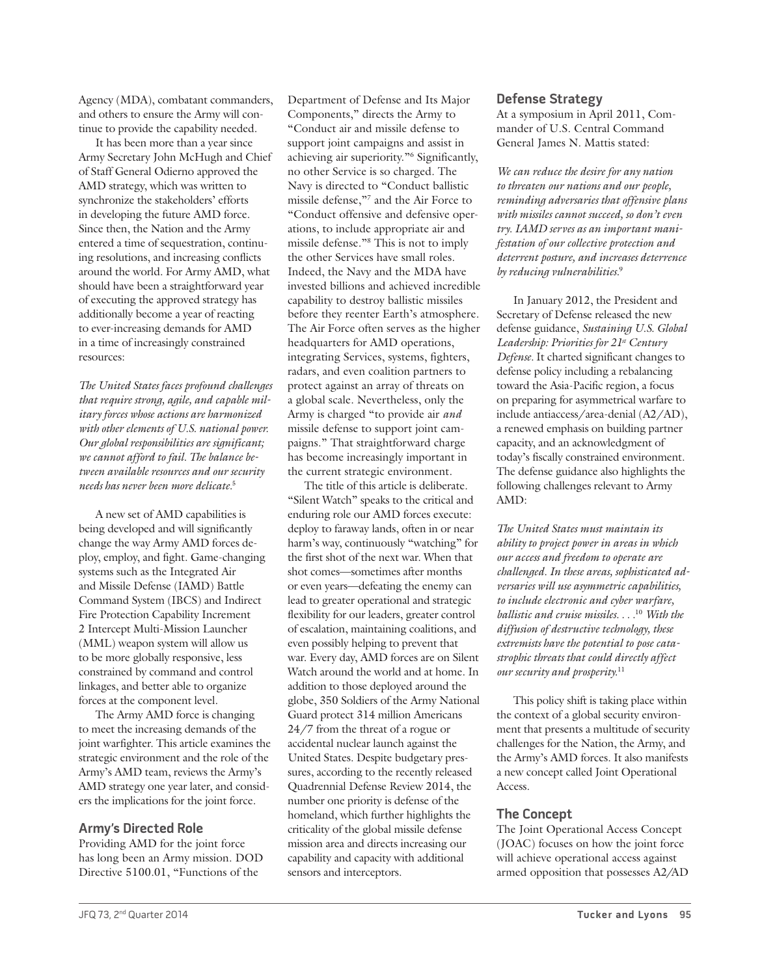Agency (MDA), combatant commanders, and others to ensure the Army will continue to provide the capability needed.

It has been more than a year since Army Secretary John McHugh and Chief of Staff General Odierno approved the AMD strategy, which was written to synchronize the stakeholders' efforts in developing the future AMD force. Since then, the Nation and the Army entered a time of sequestration, continuing resolutions, and increasing conflicts around the world. For Army AMD, what should have been a straightforward year of executing the approved strategy has additionally become a year of reacting to ever-increasing demands for AMD in a time of increasingly constrained resources:

*The United States faces profound challenges that require strong, agile, and capable military forces whose actions are harmonized with other elements of U.S. national power. Our global responsibilities are significant; we cannot afford to fail. The balance between available resources and our security needs has never been more delicate.*<sup>5</sup>

A new set of AMD capabilities is being developed and will significantly change the way Army AMD forces deploy, employ, and fight. Game-changing systems such as the Integrated Air and Missile Defense (IAMD) Battle Command System (IBCS) and Indirect Fire Protection Capability Increment 2 Intercept Multi-Mission Launcher (MML) weapon system will allow us to be more globally responsive, less constrained by command and control linkages, and better able to organize forces at the component level.

The Army AMD force is changing to meet the increasing demands of the joint warfighter. This article examines the strategic environment and the role of the Army's AMD team, reviews the Army's AMD strategy one year later, and considers the implications for the joint force.

#### **Army's Directed Role**

Providing AMD for the joint force has long been an Army mission. DOD Directive 5100.01, "Functions of the

Department of Defense and Its Major Components," directs the Army to "Conduct air and missile defense to support joint campaigns and assist in achieving air superiority."6 Significantly, no other Service is so charged. The Navy is directed to "Conduct ballistic missile defense,"7 and the Air Force to "Conduct offensive and defensive operations, to include appropriate air and missile defense."8 This is not to imply the other Services have small roles. Indeed, the Navy and the MDA have invested billions and achieved incredible capability to destroy ballistic missiles before they reenter Earth's atmosphere. The Air Force often serves as the higher headquarters for AMD operations, integrating Services, systems, fighters, radars, and even coalition partners to protect against an array of threats on a global scale. Nevertheless, only the Army is charged "to provide air *and* missile defense to support joint campaigns." That straightforward charge has become increasingly important in the current strategic environment.

The title of this article is deliberate. "Silent Watch" speaks to the critical and enduring role our AMD forces execute: deploy to faraway lands, often in or near harm's way, continuously "watching" for the first shot of the next war. When that shot comes—sometimes after months or even years—defeating the enemy can lead to greater operational and strategic flexibility for our leaders, greater control of escalation, maintaining coalitions, and even possibly helping to prevent that war. Every day, AMD forces are on Silent Watch around the world and at home. In addition to those deployed around the globe, 350 Soldiers of the Army National Guard protect 314 million Americans 24/7 from the threat of a rogue or accidental nuclear launch against the United States. Despite budgetary pressures, according to the recently released Quadrennial Defense Review 2014, the number one priority is defense of the homeland, which further highlights the criticality of the global missile defense mission area and directs increasing our capability and capacity with additional sensors and interceptors.

### **Defense Strategy**

At a symposium in April 2011, Commander of U.S. Central Command General James N. Mattis stated:

*We can reduce the desire for any nation to threaten our nations and our people, reminding adversaries that offensive plans with missiles cannot succeed, so don't even try. IAMD serves as an important manifestation of our collective protection and deterrent posture, and increases deterrence by reducing vulnerabilities.*<sup>9</sup>

In January 2012, the President and Secretary of Defense released the new defense guidance, *Sustaining U.S. Global Leadership: Priorities for 21st Century Defense.* It charted significant changes to defense policy including a rebalancing toward the Asia-Pacific region, a focus on preparing for asymmetrical warfare to include antiaccess/area-denial (A2/AD), a renewed emphasis on building partner capacity, and an acknowledgment of today's fiscally constrained environment. The defense guidance also highlights the following challenges relevant to Army AMD:

*The United States must maintain its ability to project power in areas in which our access and freedom to operate are challenged. In these areas, sophisticated adversaries will use asymmetric capabilities, to include electronic and cyber warfare, ballistic and cruise missiles. . . .*<sup>10</sup> *With the diffusion of destructive technology, these extremists have the potential to pose catastrophic threats that could directly affect our security and prosperity.*<sup>11</sup>

This policy shift is taking place within the context of a global security environment that presents a multitude of security challenges for the Nation, the Army, and the Army's AMD forces. It also manifests a new concept called Joint Operational Access.

# **The Concept**

The Joint Operational Access Concept (JOAC) focuses on how the joint force will achieve operational access against armed opposition that possesses A2/AD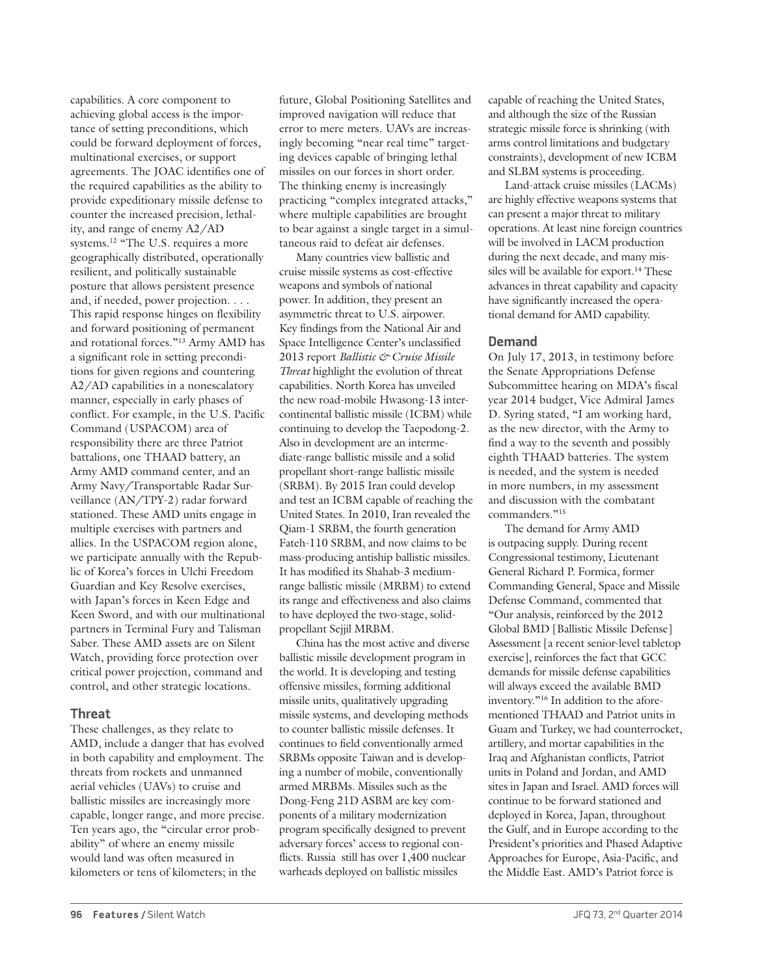capabilities. A core component to achieving global access is the importance of setting preconditions, which could be forward deployment of forces, multinational exercises, or support agreements. The JOAC identifies one of the required capabilities as the ability to provide expeditionary missile defense to counter the increased precision, lethality, and range of enemy A2/AD systems.<sup>12</sup> "The U.S. requires a more geographically distributed, operationally resilient, and politically sustainable posture that allows persistent presence and, if needed, power projection. . . . This rapid response hinges on flexibility and forward positioning of permanent and rotational forces."13 Army AMD has a significant role in setting preconditions for given regions and countering A2/AD capabilities in a nonescalatory manner, especially in early phases of conflict. For example, in the U.S. Pacific Command (USPACOM) area of responsibility there are three Patriot battalions, one THAAD battery, an Army AMD command center, and an Army Navy/Transportable Radar Surveillance (AN/TPY-2) radar forward stationed. These AMD units engage in multiple exercises with partners and allies. In the USPACOM region alone, we participate annually with the Republic of Korea's forces in Ulchi Freedom Guardian and Key Resolve exercises, with Japan's forces in Keen Edge and Keen Sword, and with our multinational partners in Terminal Fury and Talisman Saber. These AMD assets are on Silent Watch, providing force protection over critical power projection, command and control, and other strategic locations.

# **Threat**

These challenges, as they relate to AMD, include a danger that has evolved in both capability and employment. The threats from rockets and unmanned aerial vehicles (UAVs) to cruise and ballistic missiles are increasingly more capable, longer range, and more precise. Ten years ago, the "circular error probability" of where an enemy missile would land was often measured in kilometers or tens of kilometers; in the

future, Global Positioning Satellites and improved navigation will reduce that error to mere meters. UAVs are increasingly becoming "near real time" targeting devices capable of bringing lethal missiles on our forces in short order. The thinking enemy is increasingly practicing "complex integrated attacks," where multiple capabilities are brought to bear against a single target in a simultaneous raid to defeat air defenses.

Many countries view ballistic and cruise missile systems as cost-effective weapons and symbols of national power. In addition, they present an asymmetric threat to U.S. airpower. Key findings from the National Air and Space Intelligence Center's unclassified 2013 report *Ballistic & Cruise Missile Threat* highlight the evolution of threat capabilities. North Korea has unveiled the new road-mobile Hwasong-13 intercontinental ballistic missile (ICBM) while continuing to develop the Taepodong-2. Also in development are an intermediate-range ballistic missile and a solid propellant short-range ballistic missile (SRBM). By 2015 Iran could develop and test an ICBM capable of reaching the United States. In 2010, Iran revealed the Qiam-1 SRBM, the fourth generation Fateh-110 SRBM, and now claims to be mass-producing antiship ballistic missiles. It has modified its Shahab-3 mediumrange ballistic missile (MRBM) to extend its range and effectiveness and also claims to have deployed the two-stage, solidpropellant Sejjil MRBM.

China has the most active and diverse ballistic missile development program in the world. It is developing and testing offensive missiles, forming additional missile units, qualitatively upgrading missile systems, and developing methods to counter ballistic missile defenses. It continues to field conventionally armed SRBMs opposite Taiwan and is developing a number of mobile, conventionally armed MRBMs. Missiles such as the Dong-Feng 21D ASBM are key components of a military modernization program specifically designed to prevent adversary forces' access to regional conflicts. Russia still has over 1,400 nuclear warheads deployed on ballistic missiles

capable of reaching the United States, and although the size of the Russian strategic missile force is shrinking (with arms control limitations and budgetary constraints), development of new ICBM and SLBM systems is proceeding.

Land-attack cruise missiles (LACMs) are highly effective weapons systems that can present a major threat to military operations. At least nine foreign countries will be involved in LACM production during the next decade, and many missiles will be available for export.<sup>14</sup> These advances in threat capability and capacity have significantly increased the operational demand for AMD capability.

### **Demand**

On July 17, 2013, in testimony before the Senate Appropriations Defense Subcommittee hearing on MDA's fiscal year 2014 budget, Vice Admiral James D. Syring stated, "I am working hard, as the new director, with the Army to find a way to the seventh and possibly eighth THAAD batteries. The system is needed, and the system is needed in more numbers, in my assessment and discussion with the combatant commanders."15

The demand for Army AMD is outpacing supply. During recent Congressional testimony, Lieutenant General Richard P. Formica, former Commanding General, Space and Missile Defense Command, commented that "Our analysis, reinforced by the 2012 Global BMD [Ballistic Missile Defense] Assessment [a recent senior-level tabletop exercise], reinforces the fact that GCC demands for missile defense capabilities will always exceed the available BMD inventory."16 In addition to the aforementioned THAAD and Patriot units in Guam and Turkey, we had counterrocket, artillery, and mortar capabilities in the Iraq and Afghanistan conflicts, Patriot units in Poland and Jordan, and AMD sites in Japan and Israel. AMD forces will continue to be forward stationed and deployed in Korea, Japan, throughout the Gulf, and in Europe according to the President's priorities and Phased Adaptive Approaches for Europe, Asia-Pacific, and the Middle East. AMD's Patriot force is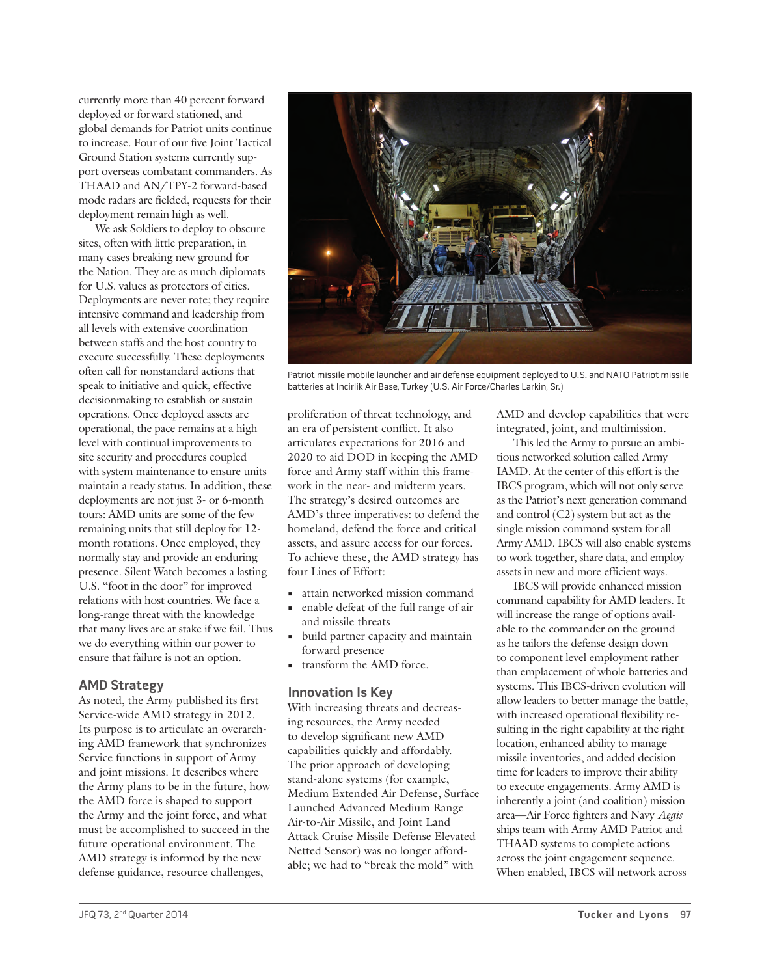currently more than 40 percent forward deployed or forward stationed, and global demands for Patriot units continue to increase. Four of our five Joint Tactical Ground Station systems currently support overseas combatant commanders. As THAAD and AN/TPY-2 forward-based mode radars are fielded, requests for their deployment remain high as well.

We ask Soldiers to deploy to obscure sites, often with little preparation, in many cases breaking new ground for the Nation. They are as much diplomats for U.S. values as protectors of cities. Deployments are never rote; they require intensive command and leadership from all levels with extensive coordination between staffs and the host country to execute successfully. These deployments often call for nonstandard actions that speak to initiative and quick, effective decisionmaking to establish or sustain operations. Once deployed assets are operational, the pace remains at a high level with continual improvements to site security and procedures coupled with system maintenance to ensure units maintain a ready status. In addition, these deployments are not just 3- or 6-month tours: AMD units are some of the few remaining units that still deploy for 12 month rotations. Once employed, they normally stay and provide an enduring presence. Silent Watch becomes a lasting U.S. "foot in the door" for improved relations with host countries. We face a long-range threat with the knowledge that many lives are at stake if we fail. Thus we do everything within our power to ensure that failure is not an option.

# **AMD Strategy**

As noted, the Army published its first Service-wide AMD strategy in 2012. Its purpose is to articulate an overarching AMD framework that synchronizes Service functions in support of Army and joint missions. It describes where the Army plans to be in the future, how the AMD force is shaped to support the Army and the joint force, and what must be accomplished to succeed in the future operational environment. The AMD strategy is informed by the new defense guidance, resource challenges,



Patriot missile mobile launcher and air defense equipment deployed to U.S. and NATO Patriot missile batteries at Incirlik Air Base, Turkey (U.S. Air Force/Charles Larkin, Sr.)

proliferation of threat technology, and an era of persistent conflict. It also articulates expectations for 2016 and 2020 to aid DOD in keeping the AMD force and Army staff within this framework in the near- and midterm years. The strategy's desired outcomes are AMD's three imperatives: to defend the homeland, defend the force and critical assets, and assure access for our forces. To achieve these, the AMD strategy has four Lines of Effort:

- **•** attain networked mission command
- **•** enable defeat of the full range of air and missile threats
- **•** build partner capacity and maintain forward presence
- **•** transform the AMD force.

#### **Innovation Is Key**

With increasing threats and decreasing resources, the Army needed to develop significant new AMD capabilities quickly and affordably. The prior approach of developing stand-alone systems (for example, Medium Extended Air Defense, Surface Launched Advanced Medium Range Air-to-Air Missile, and Joint Land Attack Cruise Missile Defense Elevated Netted Sensor) was no longer affordable; we had to "break the mold" with

AMD and develop capabilities that were integrated, joint, and multimission.

This led the Army to pursue an ambitious networked solution called Army IAMD. At the center of this effort is the IBCS program, which will not only serve as the Patriot's next generation command and control (C2) system but act as the single mission command system for all Army AMD. IBCS will also enable systems to work together, share data, and employ assets in new and more efficient ways.

IBCS will provide enhanced mission command capability for AMD leaders. It will increase the range of options available to the commander on the ground as he tailors the defense design down to component level employment rather than emplacement of whole batteries and systems. This IBCS-driven evolution will allow leaders to better manage the battle, with increased operational flexibility resulting in the right capability at the right location, enhanced ability to manage missile inventories, and added decision time for leaders to improve their ability to execute engagements. Army AMD is inherently a joint (and coalition) mission area—Air Force fighters and Navy *Aegis* ships team with Army AMD Patriot and THAAD systems to complete actions across the joint engagement sequence. When enabled, IBCS will network across